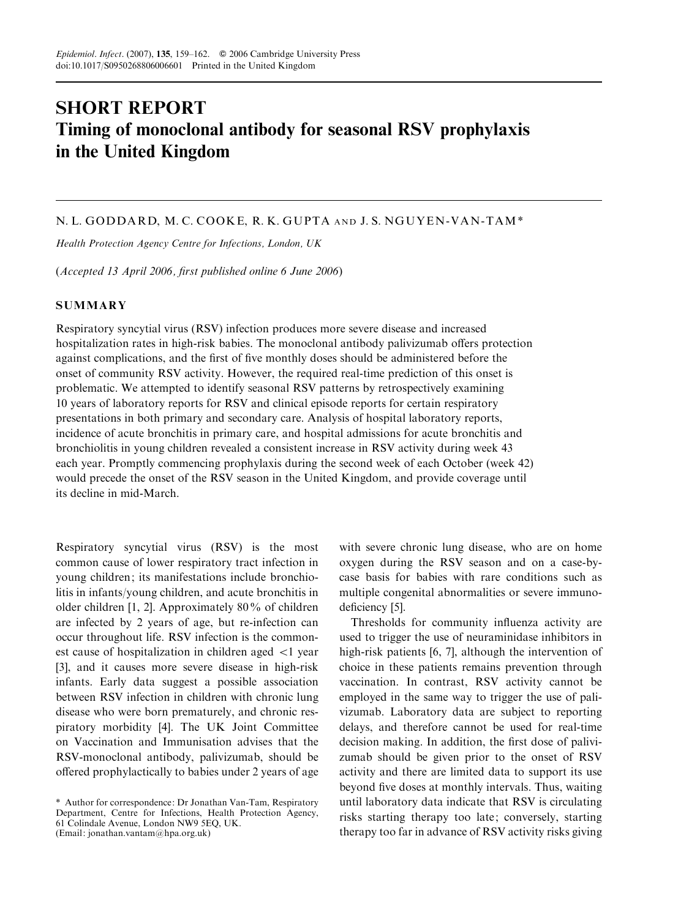# SHORT REPORT Timing of monoclonal antibody for seasonal RSV prophylaxis in the United Kingdom

## N. L. GODDARD, M. C. COOKE, R. K. GUPTA AND J. S. NGUYEN -VAN -TAM \*

Health Protection Agency Centre for Infections, London, UK

(Accepted 13 April 2006, first published online 6 June 2006)

#### **SUMMARY**

Respiratory syncytial virus (RSV) infection produces more severe disease and increased hospitalization rates in high-risk babies. The monoclonal antibody palivizumab offers protection against complications, and the first of five monthly doses should be administered before the onset of community RSV activity. However, the required real-time prediction of this onset is problematic. We attempted to identify seasonal RSV patterns by retrospectively examining 10 years of laboratory reports for RSV and clinical episode reports for certain respiratory presentations in both primary and secondary care. Analysis of hospital laboratory reports, incidence of acute bronchitis in primary care, and hospital admissions for acute bronchitis and bronchiolitis in young children revealed a consistent increase in RSV activity during week 43 each year. Promptly commencing prophylaxis during the second week of each October (week 42) would precede the onset of the RSV season in the United Kingdom, and provide coverage until its decline in mid-March.

Respiratory syncytial virus (RSV) is the most common cause of lower respiratory tract infection in young children; its manifestations include bronchiolitis in infants/young children, and acute bronchitis in older children [1, 2]. Approximately 80% of children are infected by 2 years of age, but re-infection can occur throughout life. RSV infection is the commonest cause of hospitalization in children aged <1 year [3], and it causes more severe disease in high-risk infants. Early data suggest a possible association between RSV infection in children with chronic lung disease who were born prematurely, and chronic respiratory morbidity [4]. The UK Joint Committee on Vaccination and Immunisation advises that the RSV-monoclonal antibody, palivizumab, should be offered prophylactically to babies under 2 years of age

with severe chronic lung disease, who are on home oxygen during the RSV season and on a case-bycase basis for babies with rare conditions such as multiple congenital abnormalities or severe immunodeficiency [5].

Thresholds for community influenza activity are used to trigger the use of neuraminidase inhibitors in high-risk patients [6, 7], although the intervention of choice in these patients remains prevention through vaccination. In contrast, RSV activity cannot be employed in the same way to trigger the use of palivizumab. Laboratory data are subject to reporting delays, and therefore cannot be used for real-time decision making. In addition, the first dose of palivizumab should be given prior to the onset of RSV activity and there are limited data to support its use beyond five doses at monthly intervals. Thus, waiting until laboratory data indicate that RSV is circulating risks starting therapy too late; conversely, starting therapy too far in advance of RSV activity risks giving

<sup>\*</sup> Author for correspondence: Dr Jonathan Van-Tam, Respiratory Department, Centre for Infections, Health Protection Agency, 61 Colindale Avenue, London NW9 5EQ, UK. (Email: jonathan.vantam@hpa.org.uk)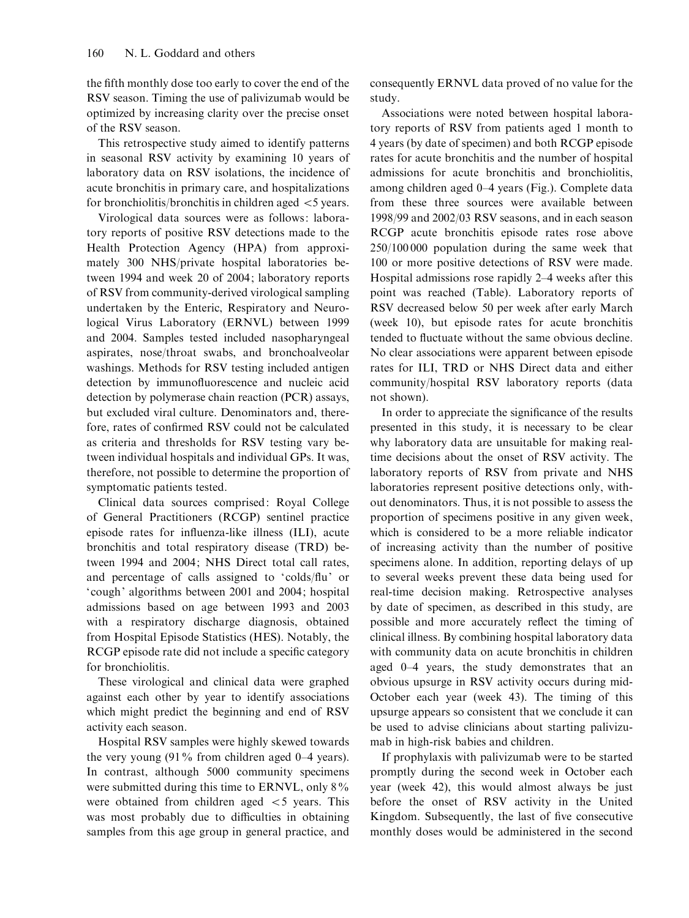the fifth monthly dose too early to cover the end of the RSV season. Timing the use of palivizumab would be optimized by increasing clarity over the precise onset of the RSV season.

This retrospective study aimed to identify patterns in seasonal RSV activity by examining 10 years of laboratory data on RSV isolations, the incidence of acute bronchitis in primary care, and hospitalizations for bronchiolitis/bronchitis in children aged  $\leq$  years.

Virological data sources were as follows: laboratory reports of positive RSV detections made to the Health Protection Agency (HPA) from approximately 300 NHS/private hospital laboratories between 1994 and week 20 of 2004; laboratory reports of RSV from community-derived virological sampling undertaken by the Enteric, Respiratory and Neurological Virus Laboratory (ERNVL) between 1999 and 2004. Samples tested included nasopharyngeal aspirates, nose/throat swabs, and bronchoalveolar washings. Methods for RSV testing included antigen detection by immunofluorescence and nucleic acid detection by polymerase chain reaction (PCR) assays, but excluded viral culture. Denominators and, therefore, rates of confirmed RSV could not be calculated as criteria and thresholds for RSV testing vary between individual hospitals and individual GPs. It was, therefore, not possible to determine the proportion of symptomatic patients tested.

Clinical data sources comprised: Royal College of General Practitioners (RCGP) sentinel practice episode rates for influenza-like illness (ILI), acute bronchitis and total respiratory disease (TRD) between 1994 and 2004; NHS Direct total call rates, and percentage of calls assigned to 'colds/flu' or 'cough' algorithms between 2001 and 2004; hospital admissions based on age between 1993 and 2003 with a respiratory discharge diagnosis, obtained from Hospital Episode Statistics (HES). Notably, the RCGP episode rate did not include a specific category for bronchiolitis.

These virological and clinical data were graphed against each other by year to identify associations which might predict the beginning and end of RSV activity each season.

Hospital RSV samples were highly skewed towards the very young  $(91\%$  from children aged 0–4 years). In contrast, although 5000 community specimens were submitted during this time to ERNVL, only 8% were obtained from children aged  $\lt$  5 years. This was most probably due to difficulties in obtaining samples from this age group in general practice, and

consequently ERNVL data proved of no value for the study.

Associations were noted between hospital laboratory reports of RSV from patients aged 1 month to 4 years (by date of specimen) and both RCGP episode rates for acute bronchitis and the number of hospital admissions for acute bronchitis and bronchiolitis, among children aged 0–4 years (Fig.). Complete data from these three sources were available between 1998/99 and 2002/03 RSV seasons, and in each season RCGP acute bronchitis episode rates rose above 250/100 000 population during the same week that 100 or more positive detections of RSV were made. Hospital admissions rose rapidly 2–4 weeks after this point was reached (Table). Laboratory reports of RSV decreased below 50 per week after early March (week 10), but episode rates for acute bronchitis tended to fluctuate without the same obvious decline. No clear associations were apparent between episode rates for ILI, TRD or NHS Direct data and either community/hospital RSV laboratory reports (data not shown).

In order to appreciate the significance of the results presented in this study, it is necessary to be clear why laboratory data are unsuitable for making realtime decisions about the onset of RSV activity. The laboratory reports of RSV from private and NHS laboratories represent positive detections only, without denominators. Thus, it is not possible to assess the proportion of specimens positive in any given week, which is considered to be a more reliable indicator of increasing activity than the number of positive specimens alone. In addition, reporting delays of up to several weeks prevent these data being used for real-time decision making. Retrospective analyses by date of specimen, as described in this study, are possible and more accurately reflect the timing of clinical illness. By combining hospital laboratory data with community data on acute bronchitis in children aged 0–4 years, the study demonstrates that an obvious upsurge in RSV activity occurs during mid-October each year (week 43). The timing of this upsurge appears so consistent that we conclude it can be used to advise clinicians about starting palivizumab in high-risk babies and children.

If prophylaxis with palivizumab were to be started promptly during the second week in October each year (week 42), this would almost always be just before the onset of RSV activity in the United Kingdom. Subsequently, the last of five consecutive monthly doses would be administered in the second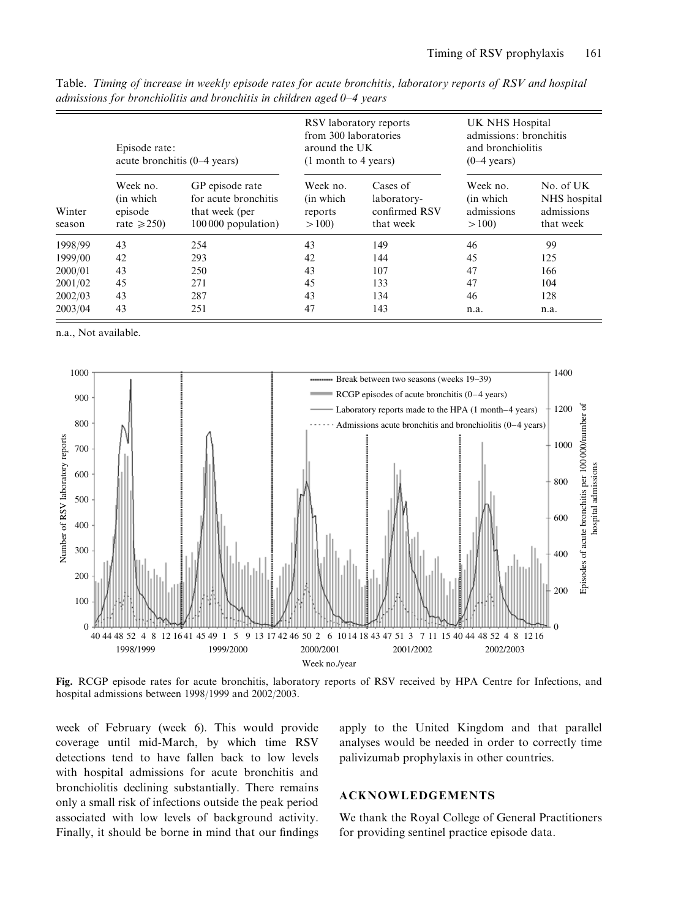| Winter<br>season | Episode rate:<br>acute bronchitis $(0-4 \text{ years})$ |                                                                                  | RSV laboratory reports<br>from 300 laboratories<br>around the UK<br>$(1$ month to 4 years) |                                                       | UK NHS Hospital<br>admissions: bronchitis<br>and bronchiolitis<br>$(0-4 \text{ years})$ |                                                      |
|------------------|---------------------------------------------------------|----------------------------------------------------------------------------------|--------------------------------------------------------------------------------------------|-------------------------------------------------------|-----------------------------------------------------------------------------------------|------------------------------------------------------|
|                  | Week no.<br>(in which)<br>episode<br>rate $\geq 250$    | GP episode rate<br>for acute bronchitis<br>that week (per<br>100 000 population) | Week no.<br>(in which)<br>reports<br>>100                                                  | Cases of<br>laboratory-<br>confirmed RSV<br>that week | Week no.<br>(in which)<br>admissions<br>>100                                            | No. of UK<br>NHS hospital<br>admissions<br>that week |
| 1998/99          | 43                                                      | 254                                                                              | 43                                                                                         | 149                                                   | 46                                                                                      | 99                                                   |
| 1999/00          | 42                                                      | 293                                                                              | 42                                                                                         | 144                                                   | 45                                                                                      | 125                                                  |
| 2000/01          | 43                                                      | 250                                                                              | 43                                                                                         | 107                                                   | 47                                                                                      | 166                                                  |
| 2001/02          | 45                                                      | 271                                                                              | 45                                                                                         | 133                                                   | 47                                                                                      | 104                                                  |
| 2002/03          | 43                                                      | 287                                                                              | 43                                                                                         | 134                                                   | 46                                                                                      | 128                                                  |
| 2003/04          | 43                                                      | 251                                                                              | 47                                                                                         | 143                                                   | n.a.                                                                                    | n.a.                                                 |

Table. Timing of increase in weekly episode rates for acute bronchitis, laboratory reports of RSV and hospital admissions for bronchiolitis and bronchitis in children aged 0–4 years

n.a., Not available.



Fig. RCGP episode rates for acute bronchitis, laboratory reports of RSV received by HPA Centre for Infections, and hospital admissions between 1998/1999 and 2002/2003.

week of February (week 6). This would provide coverage until mid-March, by which time RSV detections tend to have fallen back to low levels with hospital admissions for acute bronchitis and bronchiolitis declining substantially. There remains only a small risk of infections outside the peak period associated with low levels of background activity. Finally, it should be borne in mind that our findings

apply to the United Kingdom and that parallel analyses would be needed in order to correctly time palivizumab prophylaxis in other countries.

## ACKNOWLEDGEMENTS

We thank the Royal College of General Practitioners for providing sentinel practice episode data.